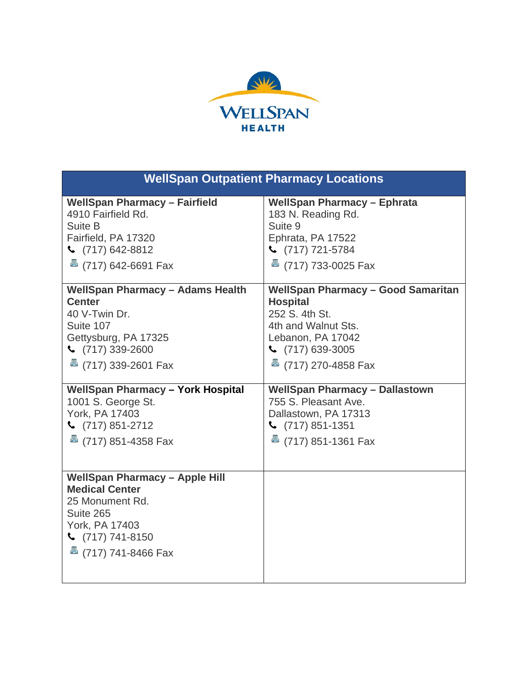

| <b>WellSpan Outpatient Pharmacy Locations</b>                                                                                                                                    |                                           |
|----------------------------------------------------------------------------------------------------------------------------------------------------------------------------------|-------------------------------------------|
| <b>WellSpan Pharmacy - Fairfield</b>                                                                                                                                             | <b>WellSpan Pharmacy - Ephrata</b>        |
| 4910 Fairfield Rd.                                                                                                                                                               | 183 N. Reading Rd.                        |
| Suite B                                                                                                                                                                          | Suite 9                                   |
| Fairfield, PA 17320                                                                                                                                                              | Ephrata, PA 17522                         |
| $\binom{1}{2}$ (717) 642-8812                                                                                                                                                    | $\binom{717}{721.5784}$                   |
| $\frac{3}{2}$ (717) 642-6691 Fax                                                                                                                                                 | <b>&amp;</b> (717) 733-0025 Fax           |
| <b>WellSpan Pharmacy - Adams Health</b>                                                                                                                                          | <b>WellSpan Pharmacy - Good Samaritan</b> |
| <b>Center</b>                                                                                                                                                                    | <b>Hospital</b>                           |
| 40 V-Twin Dr.                                                                                                                                                                    | 252 S. 4th St.                            |
| Suite 107                                                                                                                                                                        | 4th and Walnut Sts.                       |
| Gettysburg, PA 17325                                                                                                                                                             | Lebanon, PA 17042                         |
| $\binom{717}{339-2600}$                                                                                                                                                          | $\binom{26}{717}$ 639-3005                |
| $\frac{3}{2}$ (717) 339-2601 Fax                                                                                                                                                 | <sup>墨</sup> (717) 270-4858 Fax           |
| <b>WellSpan Pharmacy - York Hospital</b>                                                                                                                                         | <b>WellSpan Pharmacy - Dallastown</b>     |
| 1001 S. George St.                                                                                                                                                               | 755 S. Pleasant Ave.                      |
| York, PA 17403                                                                                                                                                                   | Dallastown, PA 17313                      |
| $\binom{2}{17}$ 851-2712                                                                                                                                                         | $\binom{1}{7}$ 851-1351                   |
| $\overline{5}$ (717) 851-4358 Fax                                                                                                                                                | $\overline{5}$ (717) 851-1361 Fax         |
| <b>WellSpan Pharmacy - Apple Hill</b><br><b>Medical Center</b><br>25 Monument Rd.<br>Suite 265<br>York, PA 17403<br>$\binom{717}{741-8150}$<br>$\overline{5}$ (717) 741-8466 Fax |                                           |